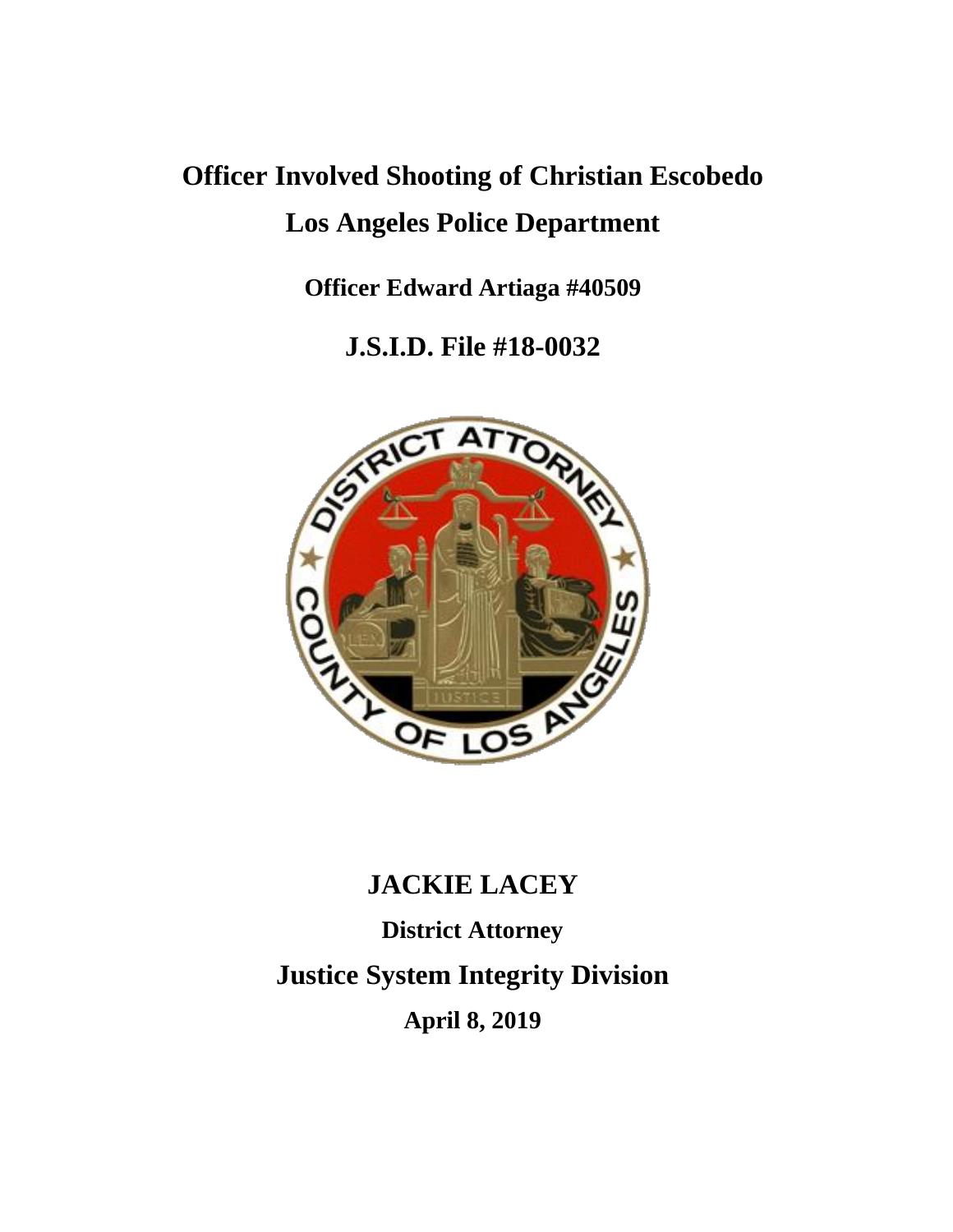# **Officer Involved Shooting of Christian Escobedo Los Angeles Police Department**

**Officer Edward Artiaga #40509**

**J.S.I.D. File #18-0032**



## **JACKIE LACEY**

**District Attorney Justice System Integrity Division April 8, 2019**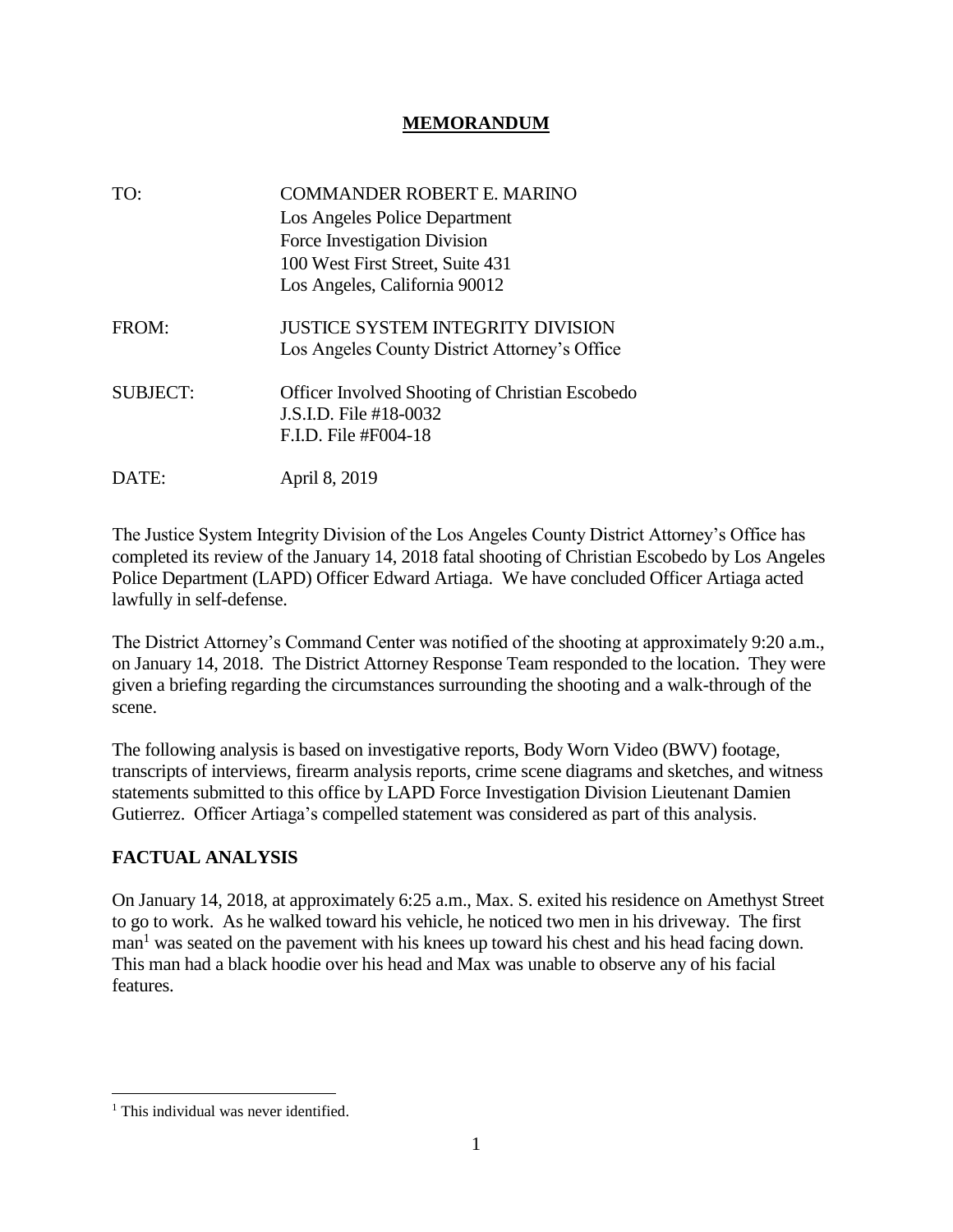#### **MEMORANDUM**

| TO:             | <b>COMMANDER ROBERT E. MARINO</b>                      |
|-----------------|--------------------------------------------------------|
|                 | Los Angeles Police Department                          |
|                 | Force Investigation Division                           |
|                 | 100 West First Street, Suite 431                       |
|                 | Los Angeles, California 90012                          |
| FROM:           | JUSTICE SYSTEM INTEGRITY DIVISION                      |
|                 | Los Angeles County District Attorney's Office          |
| <b>SUBJECT:</b> | <b>Officer Involved Shooting of Christian Escobedo</b> |
|                 | J.S.I.D. File #18-0032                                 |
|                 | F.I.D. File #F004-18                                   |
| DAIE:           | April 8, 2019                                          |

The Justice System Integrity Division of the Los Angeles County District Attorney's Office has completed its review of the January 14, 2018 fatal shooting of Christian Escobedo by Los Angeles Police Department (LAPD) Officer Edward Artiaga. We have concluded Officer Artiaga acted lawfully in self-defense.

The District Attorney's Command Center was notified of the shooting at approximately 9:20 a.m., on January 14, 2018. The District Attorney Response Team responded to the location. They were given a briefing regarding the circumstances surrounding the shooting and a walk-through of the scene.

The following analysis is based on investigative reports, Body Worn Video (BWV) footage, transcripts of interviews, firearm analysis reports, crime scene diagrams and sketches, and witness statements submitted to this office by LAPD Force Investigation Division Lieutenant Damien Gutierrez. Officer Artiaga's compelled statement was considered as part of this analysis.

### **FACTUAL ANALYSIS**

On January 14, 2018, at approximately 6:25 a.m., Max. S. exited his residence on Amethyst Street to go to work. As he walked toward his vehicle, he noticed two men in his driveway. The first man<sup>1</sup> was seated on the pavement with his knees up toward his chest and his head facing down. This man had a black hoodie over his head and Max was unable to observe any of his facial features.

 $\overline{\phantom{a}}$ 

 $<sup>1</sup>$  This individual was never identified.</sup>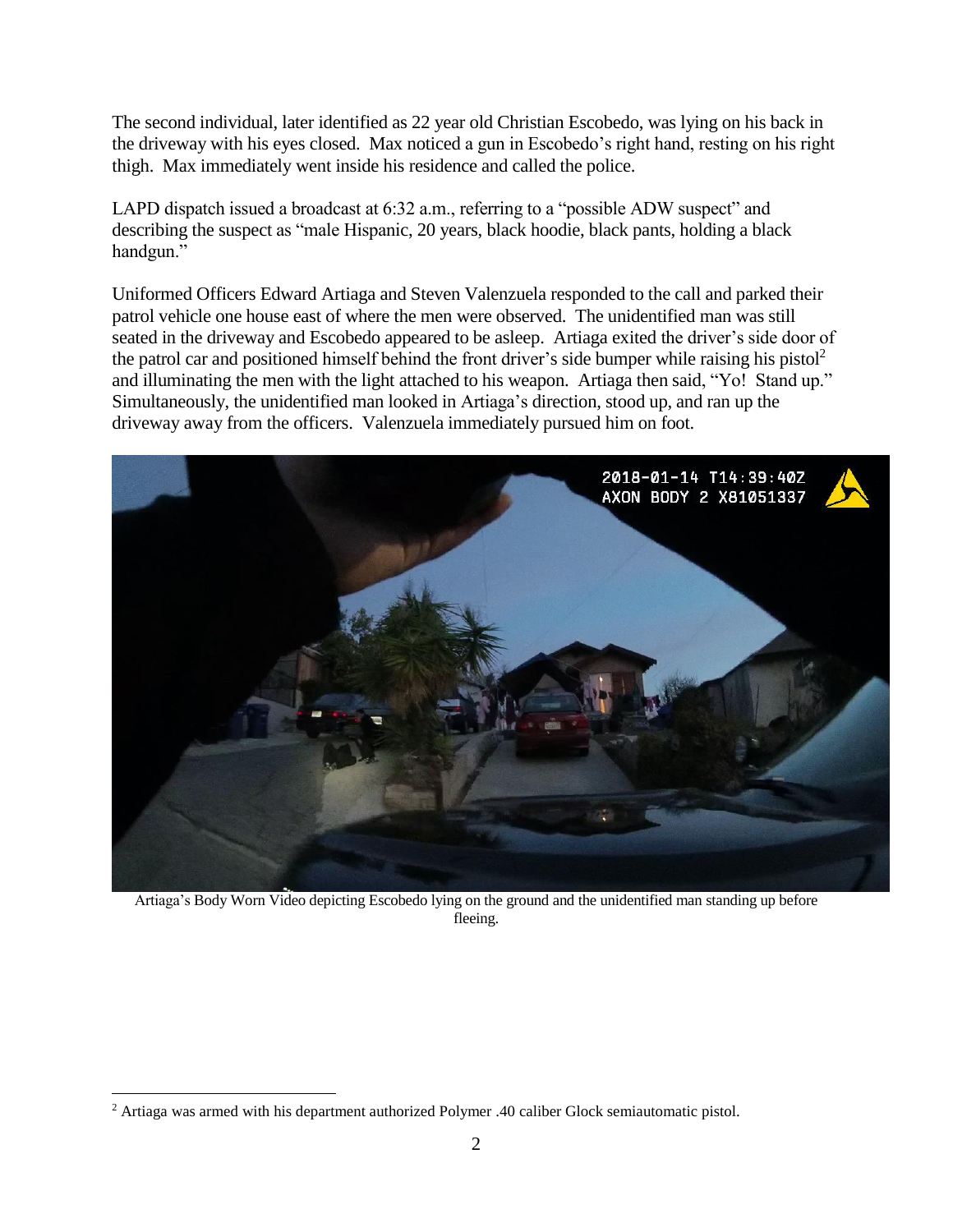The second individual, later identified as 22 year old Christian Escobedo, was lying on his back in the driveway with his eyes closed. Max noticed a gun in Escobedo's right hand, resting on his right thigh. Max immediately went inside his residence and called the police.

LAPD dispatch issued a broadcast at 6:32 a.m., referring to a "possible ADW suspect" and describing the suspect as "male Hispanic, 20 years, black hoodie, black pants, holding a black handgun."

Uniformed Officers Edward Artiaga and Steven Valenzuela responded to the call and parked their patrol vehicle one house east of where the men were observed. The unidentified man was still seated in the driveway and Escobedo appeared to be asleep. Artiaga exited the driver's side door of the patrol car and positioned himself behind the front driver's side bumper while raising his pistol<sup>2</sup> and illuminating the men with the light attached to his weapon. Artiaga then said, "Yo! Stand up." Simultaneously, the unidentified man looked in Artiaga's direction, stood up, and ran up the driveway away from the officers. Valenzuela immediately pursued him on foot.



Artiaga's Body Worn Video depicting Escobedo lying on the ground and the unidentified man standing up before fleeing.

 $\overline{\phantom{a}}$ 

<sup>2</sup> Artiaga was armed with his department authorized Polymer .40 caliber Glock semiautomatic pistol.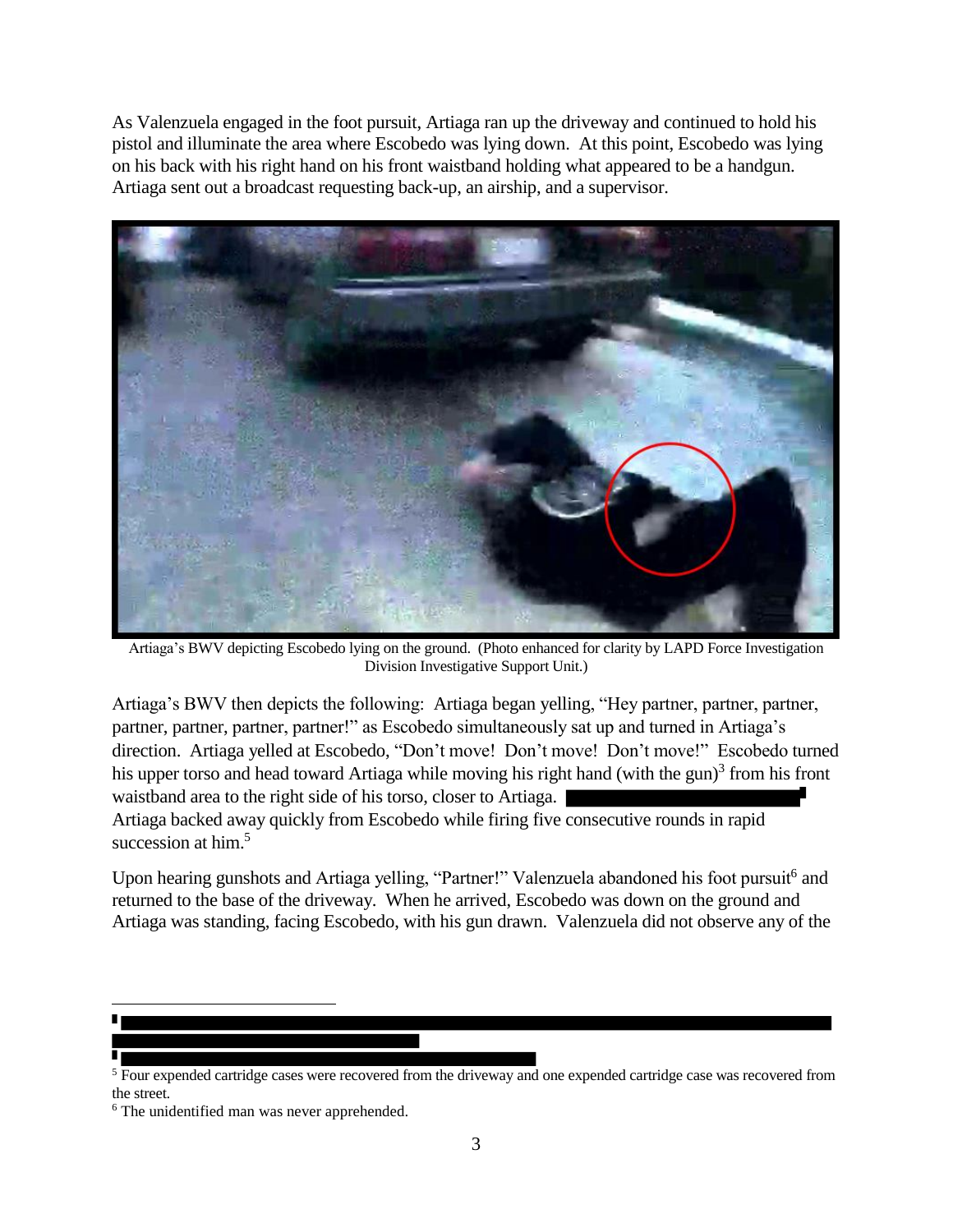As Valenzuela engaged in the foot pursuit, Artiaga ran up the driveway and continued to hold his pistol and illuminate the area where Escobedo was lying down. At this point, Escobedo was lying on his back with his right hand on his front waistband holding what appeared to be a handgun. Artiaga sent out a broadcast requesting back-up, an airship, and a supervisor.



Artiaga's BWV depicting Escobedo lying on the ground. (Photo enhanced for clarity by LAPD Force Investigation Division Investigative Support Unit.)

Artiaga's BWV then depicts the following: Artiaga began yelling, "Hey partner, partner, partner, partner, partner, partner, partner!" as Escobedo simultaneously sat up and turned in Artiaga's direction. Artiaga yelled at Escobedo, "Don't move! Don't move! Don't move!" Escobedo turned his upper torso and head toward Artiaga while moving his right hand (with the gun)<sup>3</sup> from his front waistband area to the right side of his torso, closer to Artiaga.

Artiaga backed away quickly from Escobedo while firing five consecutive rounds in rapid succession at him.<sup>5</sup>

Upon hearing gunshots and Artiaga yelling, "Partner!" Valenzuela abandoned his foot pursuit<sup>6</sup> and returned to the base of the driveway. When he arrived, Escobedo was down on the ground and Artiaga was standing, facing Escobedo, with his gun drawn. Valenzuela did not observe any of the

l

<sup>&</sup>lt;sup>5</sup> Four expended cartridge cases were recovered from the driveway and one expended cartridge case was recovered from the street.

<sup>&</sup>lt;sup>6</sup> The unidentified man was never apprehended.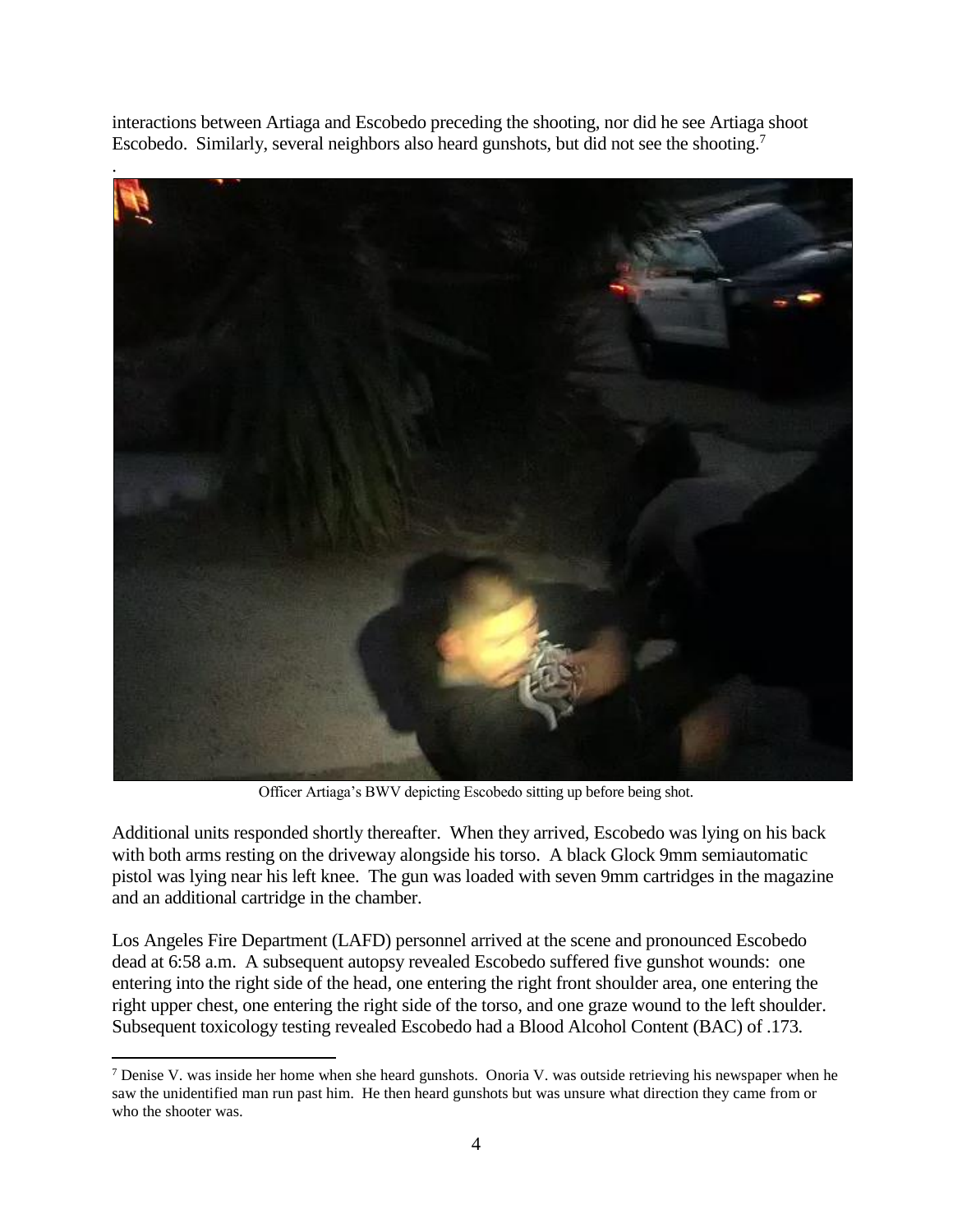interactions between Artiaga and Escobedo preceding the shooting, nor did he see Artiaga shoot Escobedo. Similarly, several neighbors also heard gunshots, but did not see the shooting.<sup>7</sup>



Officer Artiaga's BWV depicting Escobedo sitting up before being shot.

Additional units responded shortly thereafter. When they arrived, Escobedo was lying on his back with both arms resting on the driveway alongside his torso. A black Glock 9mm semiautomatic pistol was lying near his left knee. The gun was loaded with seven 9mm cartridges in the magazine and an additional cartridge in the chamber.

Los Angeles Fire Department (LAFD) personnel arrived at the scene and pronounced Escobedo dead at 6:58 a.m. A subsequent autopsy revealed Escobedo suffered five gunshot wounds: one entering into the right side of the head, one entering the right front shoulder area, one entering the right upper chest, one entering the right side of the torso, and one graze wound to the left shoulder. Subsequent toxicology testing revealed Escobedo had a Blood Alcohol Content (BAC) of .173.

 $\overline{\phantom{a}}$  $7$  Denise V. was inside her home when she heard gunshots. Onoria V. was outside retrieving his newspaper when he saw the unidentified man run past him. He then heard gunshots but was unsure what direction they came from or who the shooter was.